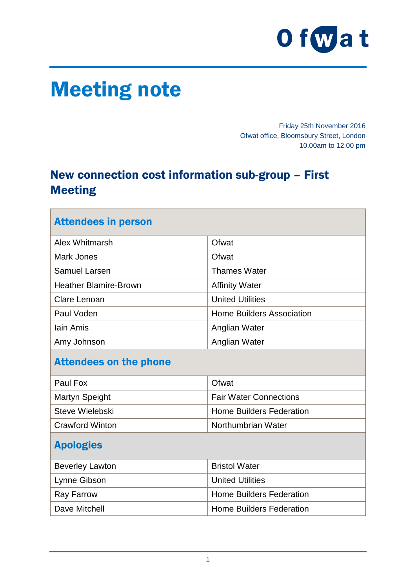

# Meeting note

Friday 25th November 2016 Ofwat office, Bloomsbury Street, London 10.00am to 12.00 pm

# New connection cost information sub-group – First Meeting

| <b>Attendees in person</b>    |                                  |
|-------------------------------|----------------------------------|
| Alex Whitmarsh                | Ofwat                            |
| <b>Mark Jones</b>             | Ofwat                            |
| <b>Samuel Larsen</b>          | <b>Thames Water</b>              |
| <b>Heather Blamire-Brown</b>  | <b>Affinity Water</b>            |
| Clare Lenoan                  | <b>United Utilities</b>          |
| Paul Voden                    | <b>Home Builders Association</b> |
| <b>lain Amis</b>              | Anglian Water                    |
| Amy Johnson                   | Anglian Water                    |
| <b>Attendees on the phone</b> |                                  |
| Paul Fox                      | Ofwat                            |
| <b>Martyn Speight</b>         | <b>Fair Water Connections</b>    |
| Steve Wielebski               | <b>Home Builders Federation</b>  |
| <b>Crawford Winton</b>        | Northumbrian Water               |
| <b>Apologies</b>              |                                  |
| <b>Beverley Lawton</b>        | <b>Bristol Water</b>             |
| Lynne Gibson                  | <b>United Utilities</b>          |
| <b>Ray Farrow</b>             | <b>Home Builders Federation</b>  |
| Dave Mitchell                 | <b>Home Builders Federation</b>  |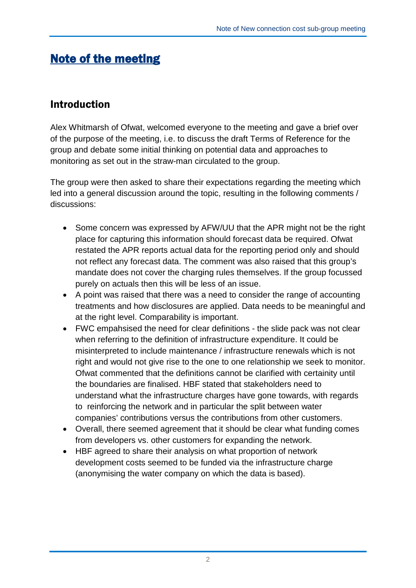# Note of the meeting

# Introduction

Alex Whitmarsh of Ofwat, welcomed everyone to the meeting and gave a brief over of the purpose of the meeting, i.e. to discuss the draft Terms of Reference for the group and debate some initial thinking on potential data and approaches to monitoring as set out in the straw-man circulated to the group.

The group were then asked to share their expectations regarding the meeting which led into a general discussion around the topic, resulting in the following comments / discussions:

- Some concern was expressed by AFW/UU that the APR might not be the right place for capturing this information should forecast data be required. Ofwat restated the APR reports actual data for the reporting period only and should not reflect any forecast data. The comment was also raised that this group's mandate does not cover the charging rules themselves. If the group focussed purely on actuals then this will be less of an issue.
- A point was raised that there was a need to consider the range of accounting treatments and how disclosures are applied. Data needs to be meaningful and at the right level. Comparability is important.
- FWC empahsised the need for clear definitions the slide pack was not clear when referring to the definition of infrastructure expenditure. It could be misinterpreted to include maintenance / infrastructure renewals which is not right and would not give rise to the one to one relationship we seek to monitor. Ofwat commented that the definitions cannot be clarified with certainity until the boundaries are finalised. HBF stated that stakeholders need to understand what the infrastructure charges have gone towards, with regards to reinforcing the network and in particular the split between water companies' contributions versus the contributions from other customers.
- Overall, there seemed agreement that it should be clear what funding comes from developers vs. other customers for expanding the network.
- HBF agreed to share their analysis on what proportion of network development costs seemed to be funded via the infrastructure charge (anonymising the water company on which the data is based).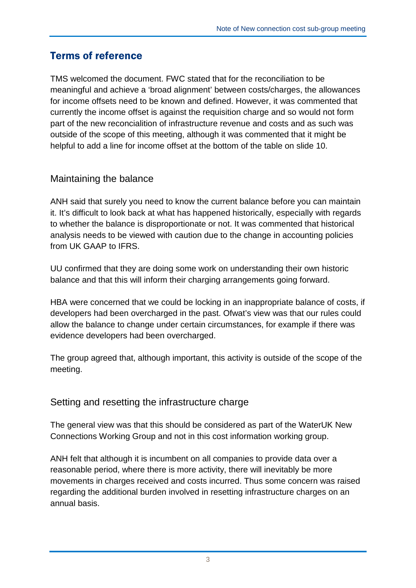# Terms of reference

TMS welcomed the document. FWC stated that for the reconciliation to be meaningful and achieve a 'broad alignment' between costs/charges, the allowances for income offsets need to be known and defined. However, it was commented that currently the income offset is against the requisition charge and so would not form part of the new reconcialition of infrastructure revenue and costs and as such was outside of the scope of this meeting, although it was commented that it might be helpful to add a line for income offset at the bottom of the table on slide 10.

## Maintaining the balance

ANH said that surely you need to know the current balance before you can maintain it. It's difficult to look back at what has happened historically, especially with regards to whether the balance is disproportionate or not. It was commented that historical analysis needs to be viewed with caution due to the change in accounting policies from UK GAAP to IFRS.

UU confirmed that they are doing some work on understanding their own historic balance and that this will inform their charging arrangements going forward.

HBA were concerned that we could be locking in an inappropriate balance of costs, if developers had been overcharged in the past. Ofwat's view was that our rules could allow the balance to change under certain circumstances, for example if there was evidence developers had been overcharged.

The group agreed that, although important, this activity is outside of the scope of the meeting.

## Setting and resetting the infrastructure charge

The general view was that this should be considered as part of the WaterUK New Connections Working Group and not in this cost information working group.

ANH felt that although it is incumbent on all companies to provide data over a reasonable period, where there is more activity, there will inevitably be more movements in charges received and costs incurred. Thus some concern was raised regarding the additional burden involved in resetting infrastructure charges on an annual basis.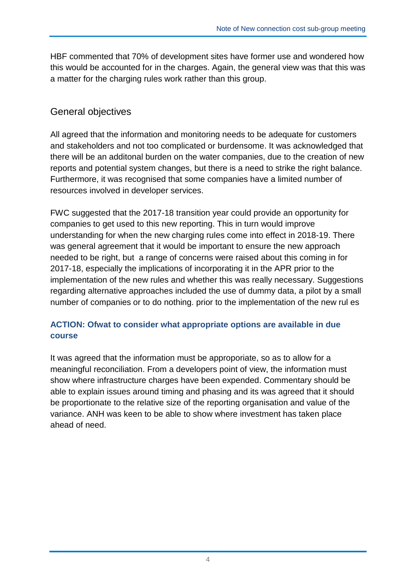HBF commented that 70% of development sites have former use and wondered how this would be accounted for in the charges. Again, the general view was that this was a matter for the charging rules work rather than this group.

## General objectives

All agreed that the information and monitoring needs to be adequate for customers and stakeholders and not too complicated or burdensome. It was acknowledged that there will be an additonal burden on the water companies, due to the creation of new reports and potential system changes, but there is a need to strike the right balance. Furthermore, it was recognised that some companies have a limited number of resources involved in developer services.

FWC suggested that the 2017-18 transition year could provide an opportunity for companies to get used to this new reporting. This in turn would improve understanding for when the new charging rules come into effect in 2018-19. There was general agreement that it would be important to ensure the new approach needed to be right, but a range of concerns were raised about this coming in for 2017-18, especially the implications of incorporating it in the APR prior to the implementation of the new rules and whether this was really necessary. Suggestions regarding alternative approaches included the use of dummy data, a pilot by a small number of companies or to do nothing. prior to the implementation of the new rul es

## **ACTION: Ofwat to consider what appropriate options are available in due course**

It was agreed that the information must be approporiate, so as to allow for a meaningful reconciliation. From a developers point of view, the information must show where infrastructure charges have been expended. Commentary should be able to explain issues around timing and phasing and its was agreed that it should be proportionate to the relative size of the reporting organisation and value of the variance. ANH was keen to be able to show where investment has taken place ahead of need.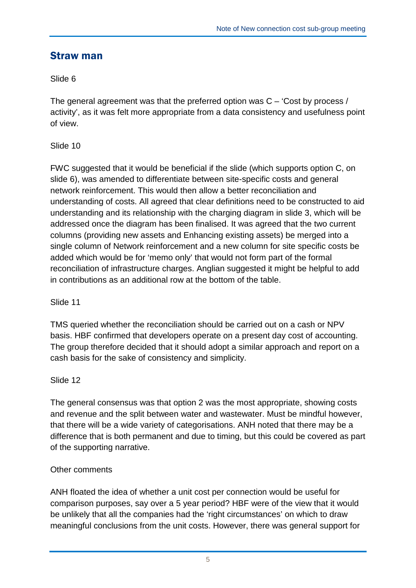## Straw man

## Slide 6

The general agreement was that the preferred option was C – 'Cost by process / activity', as it was felt more appropriate from a data consistency and usefulness point of view.

### Slide 10

FWC suggested that it would be beneficial if the slide (which supports option C, on slide 6), was amended to differentiate between site-specific costs and general network reinforcement. This would then allow a better reconciliation and understanding of costs. All agreed that clear definitions need to be constructed to aid understanding and its relationship with the charging diagram in slide 3, which will be addressed once the diagram has been finalised. It was agreed that the two current columns (providing new assets and Enhancing existing assets) be merged into a single column of Network reinforcement and a new column for site specific costs be added which would be for 'memo only' that would not form part of the formal reconciliation of infrastructure charges. Anglian suggested it might be helpful to add in contributions as an additional row at the bottom of the table.

### Slide 11

TMS queried whether the reconciliation should be carried out on a cash or NPV basis. HBF confirmed that developers operate on a present day cost of accounting. The group therefore decided that it should adopt a similar approach and report on a cash basis for the sake of consistency and simplicity.

### Slide 12

The general consensus was that option 2 was the most appropriate, showing costs and revenue and the split between water and wastewater. Must be mindful however, that there will be a wide variety of categorisations. ANH noted that there may be a difference that is both permanent and due to timing, but this could be covered as part of the supporting narrative.

### Other comments

ANH floated the idea of whether a unit cost per connection would be useful for comparison purposes, say over a 5 year period? HBF were of the view that it would be unlikely that all the companies had the 'right circumstances' on which to draw meaningful conclusions from the unit costs. However, there was general support for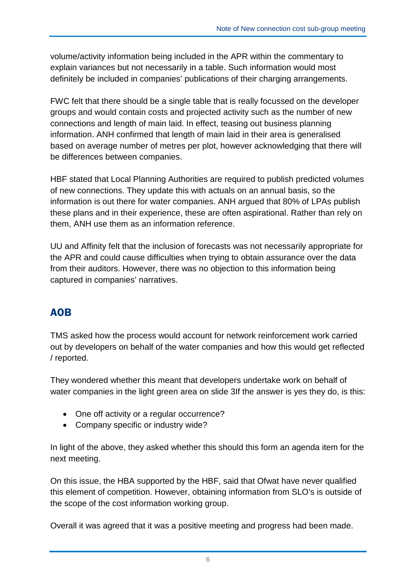volume/activity information being included in the APR within the commentary to explain variances but not necessarily in a table. Such information would most definitely be included in companies' publications of their charging arrangements.

FWC felt that there should be a single table that is really focussed on the developer groups and would contain costs and projected activity such as the number of new connections and length of main laid. In effect, teasing out business planning information. ANH confirmed that length of main laid in their area is generalised based on average number of metres per plot, however acknowledging that there will be differences between companies.

HBF stated that Local Planning Authorities are required to publish predicted volumes of new connections. They update this with actuals on an annual basis, so the information is out there for water companies. ANH argued that 80% of LPAs publish these plans and in their experience, these are often aspirational. Rather than rely on them, ANH use them as an information reference.

UU and Affinity felt that the inclusion of forecasts was not necessarily appropriate for the APR and could cause difficulties when trying to obtain assurance over the data from their auditors. However, there was no objection to this information being captured in companies' narratives.

# AOB

TMS asked how the process would account for network reinforcement work carried out by developers on behalf of the water companies and how this would get reflected / reported.

They wondered whether this meant that developers undertake work on behalf of water companies in the light green area on slide 3If the answer is yes they do, is this:

- One off activity or a regular occurrence?
- Company specific or industry wide?

In light of the above, they asked whether this should this form an agenda item for the next meeting.

On this issue, the HBA supported by the HBF, said that Ofwat have never qualified this element of competition. However, obtaining information from SLO's is outside of the scope of the cost information working group.

Overall it was agreed that it was a positive meeting and progress had been made.